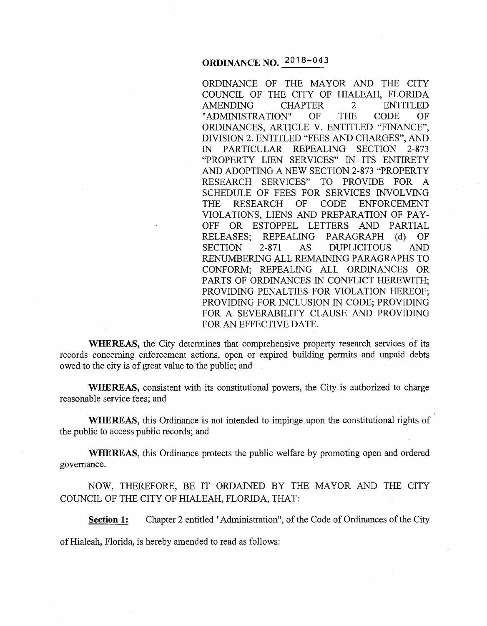# **ORDINANCE NO.** 2018-043

ORDINANCE OF THE MAYOR AND THE CITY COUNCIL OF THE CITY OF HIALEAH, FLORIDA AMENDING CHAPTER 2 ENTITLED "ADMINISTRATION" OF THE CODE OF ORDINANCES, ARTICLE V. ENTITLED "FINANCE", DIVISION 2. ENTITLED "FEES AND CHARGES", AND IN PARTICULAR REPEALING SECTION 2-873 "PROPERTY LIEN SERVICES" IN ITS ENTIRETY AND ADOPTING A NEW SECTION 2-873 "PROPERTY RESEARCH SERVICES" TO PROVIDE FOR A SCHEDULE OF FEES FOR SERVICES INVOLVING THE RESEARCH OF CODE ENFORCEMENT VIOLATIONS, LIENS AND PREPARATION OF PAY-OFF OR ESTOPPEL LETTERS AND PARTIAL RELEASES; REPEALING PARAGRAPH (d) OF SECTION 2-871 AS DUPLICITOUS AND RENUMBERING ALL REMAINING PARAGRAPHS TO CONFORM; REPEALING ALL ORDINANCES OR PARTS OF ORDINANCES IN CONFLICT HEREWITH; PROVIDING PENALTIES FOR VIOLATION HEREOF; PROVIDING FOR INCLUSION IN CODE; PROVIDING FOR A SEVERABILITY CLAUSE AND PROVIDING FOR AN EFFECTIVE DATE.

**WHEREAS,** the City determines that comprehensive property research services of its records concerning enforcement actions, open or expired building permits and unpaid debts owed to the city is of great value to the public; and

**WHEREAS,** consistent with its constitutional powers, the City is authorized to charge reasonable service fees; and

**WHEREAS,** this Ordinance is not intended to impinge upon the constitutional rights of the public to access public records; and

**WHEREAS,** this Ordinance protects the public welfare by promoting open and ordered governance.

NOW, THEREFORE, BE IT ORDAINED BY THE MAYOR AND THE CITY COUNCIL OF THE CITY OF HIALEAH, FLORIDA, THAT:

**Section 1:** Chapter 2 entitled "Administration", of the Code of Ordinances of the City

of Hialeah, Florida, is hereby amended to read as follows: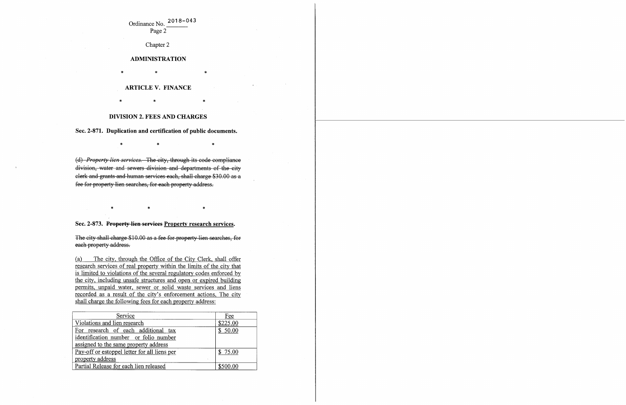## Ordinance No. 2018-043 Page 2

Chapter 2

#### **ADMINISTRATION**

 $\ast$   $\ast$   $\ast$ 

 $\ast$   $\ast$   $\ast$ 

### **ARTICLE V. FINANCE**

#### **DIVISION 2. FEES AND CHARGES**

**Sec. 2-871. Duplication and certification of public documents.** 

 $\ast$   $\ast$   $\ast$ 

(d) *Property lien services.* The city, through its code compliance division, water and sewers division and departments of the city clerk and grants and human services each, shall charge \$30.00 as a fee for property lien searches, for each property address.

\* \* \*

### **Sec. 2-873. Property lien serviees Property research services.**

The city shall charge \$10.00 as a fee for property lien searches, for each property address.

(a) The city, through the Office of the City Clerk, shall offer research services of real property within the limits of the city that is limited to violations of the several regulatory codes enforced by the city, including unsafe structures and open or expired building permits, unpaid water, sewer or solid waste services and liens recorded as a result of the city's enforcement actions, The city shall charge the following fees for each property address:

| Service                                      | Fee      |
|----------------------------------------------|----------|
| Violations and lien research                 | \$225.00 |
| For research of each additional tax          | \$50.00  |
| identification number or folio number        |          |
| assigned to the same property address        |          |
| Pay-off or estoppel letter for all liens per | \$75.00  |
| property address                             |          |
| Partial Release for each lien released       |          |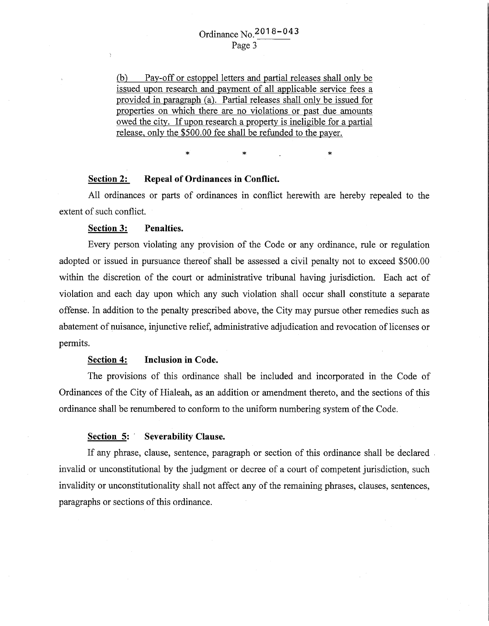(b) Pay-off or estoppel letters and partial releases shall only be issued upon research and payment of all applicable service fees a provided in paragraph (a). Partial releases shall only be issued for properties on which there are no violations or past due amounts owed the city. If upon research a property is ineligible for a partial release, only the \$500.00 fee shall be refunded to the payer.

#### **Section 2: Repeal of Ordinances in Conflict.**

All ordinances or parts of ordinances in conflict herewith are hereby repealed to the extent of such conflict.

 $\ast$   $\ast$   $\ast$   $\ast$ 

#### **Section 3: Penalties.**

Every person violating any provision of the Code or any ordinance, rule or regulation adopted or issued in pursuance thereof shall be assessed a civil penalty not to exceed \$500.00 within the discretion of the court or administrative tribunal having jurisdiction. Each act of violation and each day upon which any such violation shall occur shall constitute a separate offense. In addition to the penalty prescribed above, the City may pursue other remedies such as abatement of nuisance, injunctive relief, administrative adjudication and revocation of licenses or permits.

#### **Section 4: Inclusion in Code.**

The provisions of this ordinance shall be included and incorporated in the Code of Ordinances of the City of Hialeah, as an addition or amendment thereto, and the sections of this ordinance shall be renumbered to conform to the uniform numbering system of the Code.

#### **Section 5: · Severability Clause.**

If any phrase, clause, sentence, paragraph or section of this ordinance shall be declared . invalid or unconstitutional by the judgment or decree of a court of competent jurisdiction, such invalidity or unconstitutionality shall not affect any of the remaining phrases, clauses, sentences, paragraphs or sections of this ordinance.